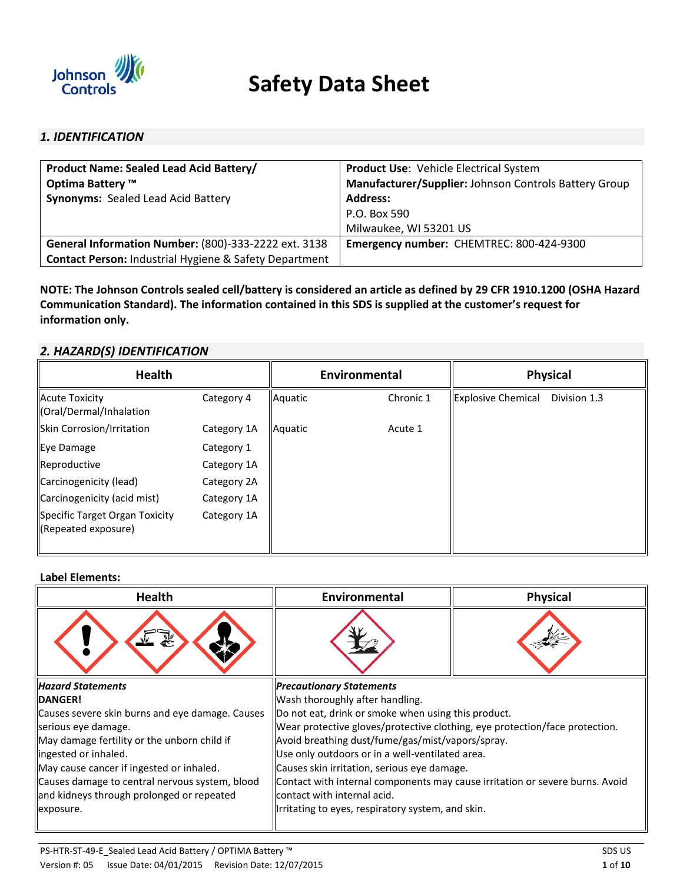

# **Safety Data Sheet**

# *1. IDENTIFICATION*

| <b>Product Name: Sealed Lead Acid Battery/</b>                    | <b>Product Use: Vehicle Electrical System</b>         |
|-------------------------------------------------------------------|-------------------------------------------------------|
| Optima Battery ™                                                  | Manufacturer/Supplier: Johnson Controls Battery Group |
| <b>Synonyms: Sealed Lead Acid Battery</b>                         | <b>Address:</b>                                       |
|                                                                   | P.O. Box 590                                          |
|                                                                   | Milwaukee, WI 53201 US                                |
| General Information Number: (800)-333-2222 ext. 3138              | Emergency number: CHEMTREC: 800-424-9300              |
| <b>Contact Person: Industrial Hygiene &amp; Safety Department</b> |                                                       |

**NOTE: The Johnson Controls sealed cell/battery is considered an article as defined by 29 CFR 1910.1200 (OSHA Hazard ommunication Standard); The information contained in this SDS is supplied at the customer's request for information only.** 

# *2. HAZARD(S) IDENTIFICATION*

| Health                                                     |             | Environmental |           | <b>Physical</b>           |              |
|------------------------------------------------------------|-------------|---------------|-----------|---------------------------|--------------|
| <b>Acute Toxicity</b><br>(Oral/Dermal/Inhalation           | Category 4  | Aquatic       | Chronic 1 | <b>Explosive Chemical</b> | Division 1.3 |
| Skin Corrosion/Irritation                                  | Category 1A | Aquatic       | Acute 1   |                           |              |
| Eye Damage                                                 | Category 1  |               |           |                           |              |
| Reproductive                                               | Category 1A |               |           |                           |              |
| Carcinogenicity (lead)                                     | Category 2A |               |           |                           |              |
| Carcinogenicity (acid mist)                                | Category 1A |               |           |                           |              |
| Specific Target Organ Toxicity<br>$\ $ (Repeated exposure) | Category 1A |               |           |                           |              |

# **Label Elements:**

| <b>Health</b>                                   | Environmental<br><b>Physical</b>                                             |  |  |
|-------------------------------------------------|------------------------------------------------------------------------------|--|--|
|                                                 |                                                                              |  |  |
| <b>Hazard Statements</b>                        | <b>Precautionary Statements</b>                                              |  |  |
| <b>IDANGER!</b>                                 | Wash thoroughly after handling.                                              |  |  |
| Causes severe skin burns and eye damage. Causes | Do not eat, drink or smoke when using this product.                          |  |  |
| serious eye damage.                             | Wear protective gloves/protective clothing, eye protection/face protection.  |  |  |
| May damage fertility or the unborn child if     | Avoid breathing dust/fume/gas/mist/vapors/spray.                             |  |  |
| lingested or inhaled.                           | Use only outdoors or in a well-ventilated area.                              |  |  |
| May cause cancer if ingested or inhaled.        | Causes skin irritation, serious eye damage.                                  |  |  |
| Causes damage to central nervous system, blood  | Contact with internal components may cause irritation or severe burns. Avoid |  |  |
| and kidneys through prolonged or repeated       | contact with internal acid.                                                  |  |  |
| exposure.                                       | Irritating to eyes, respiratory system, and skin.                            |  |  |
|                                                 |                                                                              |  |  |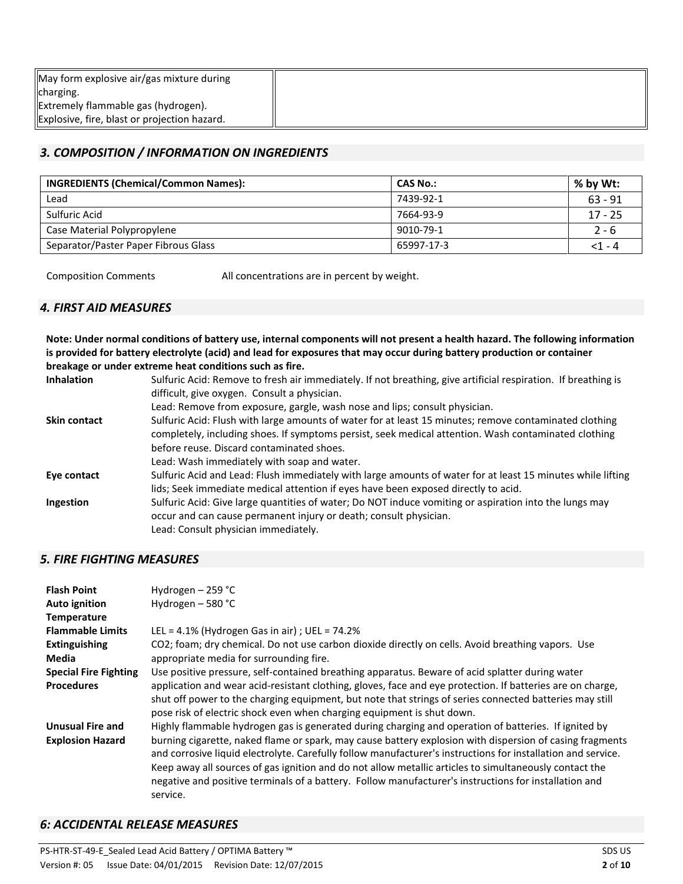| May form explosive air/gas mixture during    |  |
|----------------------------------------------|--|
| charging.                                    |  |
| Extremely flammable gas (hydrogen).          |  |
| Explosive, fire, blast or projection hazard. |  |

# *3. COMPOSITION / INFORMATION ON INGREDIENTS*

| <b>INGREDIENTS (Chemical/Common Names):</b> | CAS No.:   | $%$ by Wt: |
|---------------------------------------------|------------|------------|
| Lead                                        | 7439-92-1  | $63 - 91$  |
| Sulfuric Acid                               | 7664-93-9  | $17 - 25$  |
| Case Material Polypropylene                 | 9010-79-1  | $2 - 6$    |
| Separator/Paster Paper Fibrous Glass        | 65997-17-3 | $<$ 1 - 4  |

Composition Comments All concentrations are in percent by weight.

# *4. FIRST AID MEASURES*

**Note: Under normal conditions of battery use, internal components will not present a health hazard. The following information is provided for battery electrolyte (acid) and lead for exposures that may occur during battery production or container breakage or under extreme heat conditions such as fire.** 

| <b>Inhalation</b> | Sulfuric Acid: Remove to fresh air immediately. If not breathing, give artificial respiration. If breathing is |
|-------------------|----------------------------------------------------------------------------------------------------------------|
|                   | difficult, give oxygen. Consult a physician.                                                                   |
|                   | Lead: Remove from exposure, gargle, wash nose and lips; consult physician.                                     |
| Skin contact      | Sulfuric Acid: Flush with large amounts of water for at least 15 minutes; remove contaminated clothing         |
|                   | completely, including shoes. If symptoms persist, seek medical attention. Wash contaminated clothing           |
|                   | before reuse. Discard contaminated shoes.                                                                      |
|                   | Lead: Wash immediately with soap and water.                                                                    |
| Eye contact       | Sulfuric Acid and Lead: Flush immediately with large amounts of water for at least 15 minutes while lifting    |
|                   | lids; Seek immediate medical attention if eyes have been exposed directly to acid.                             |
| Ingestion         | Sulfuric Acid: Give large quantities of water; Do NOT induce vomiting or aspiration into the lungs may         |
|                   | occur and can cause permanent injury or death; consult physician.                                              |
|                   | Lead: Consult physician immediately.                                                                           |

# *5. FIRE FIGHTING MEASURES*

| <b>Flash Point</b><br>Auto ignition<br>Temperature | Hydrogen $-$ 259 °C<br>Hydrogen - 580 °C                                                                                                                                                                                                                                                                                                                                                                                                                |
|----------------------------------------------------|---------------------------------------------------------------------------------------------------------------------------------------------------------------------------------------------------------------------------------------------------------------------------------------------------------------------------------------------------------------------------------------------------------------------------------------------------------|
| <b>Flammable Limits</b>                            | LEL = $4.1\%$ (Hydrogen Gas in air); UEL = $74.2\%$                                                                                                                                                                                                                                                                                                                                                                                                     |
| Extinguishing<br>Media                             | CO2; foam; dry chemical. Do not use carbon dioxide directly on cells. Avoid breathing vapors. Use<br>appropriate media for surrounding fire.                                                                                                                                                                                                                                                                                                            |
| <b>Special Fire Fighting</b>                       | Use positive pressure, self-contained breathing apparatus. Beware of acid splatter during water                                                                                                                                                                                                                                                                                                                                                         |
| <b>Procedures</b>                                  | application and wear acid-resistant clothing, gloves, face and eye protection. If batteries are on charge,<br>shut off power to the charging equipment, but note that strings of series connected batteries may still<br>pose risk of electric shock even when charging equipment is shut down.                                                                                                                                                         |
| <b>Unusual Fire and</b>                            | Highly flammable hydrogen gas is generated during charging and operation of batteries. If ignited by                                                                                                                                                                                                                                                                                                                                                    |
| <b>Explosion Hazard</b>                            | burning cigarette, naked flame or spark, may cause battery explosion with dispersion of casing fragments<br>and corrosive liquid electrolyte. Carefully follow manufacturer's instructions for installation and service.<br>Keep away all sources of gas ignition and do not allow metallic articles to simultaneously contact the<br>negative and positive terminals of a battery. Follow manufacturer's instructions for installation and<br>service. |

# *6: ACCIDENTAL RELEASE MEASURES*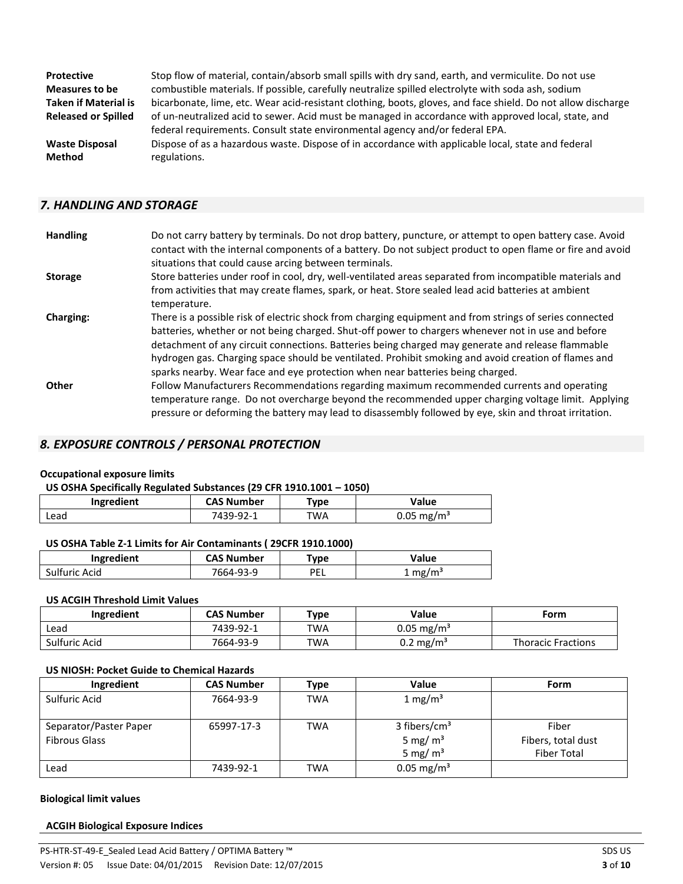| <b>Protective</b>           | Stop flow of material, contain/absorb small spills with dry sand, earth, and vermiculite. Do not use         |
|-----------------------------|--------------------------------------------------------------------------------------------------------------|
| Measures to be              | combustible materials. If possible, carefully neutralize spilled electrolyte with soda ash, sodium           |
| <b>Taken if Material is</b> | bicarbonate, lime, etc. Wear acid-resistant clothing, boots, gloves, and face shield. Do not allow discharge |
| <b>Released or Spilled</b>  | of un-neutralized acid to sewer. Acid must be managed in accordance with approved local, state, and          |
|                             | federal requirements. Consult state environmental agency and/or federal EPA.                                 |
| <b>Waste Disposal</b>       | Dispose of as a hazardous waste. Dispose of in accordance with applicable local, state and federal           |
| <b>Method</b>               | regulations.                                                                                                 |

# *7. HANDLING AND STORAGE*

| <b>Handling</b>  | Do not carry battery by terminals. Do not drop battery, puncture, or attempt to open battery case. Avoid<br>contact with the internal components of a battery. Do not subject product to open flame or fire and avoid<br>situations that could cause arcing between terminals.                                                                                                                                                                                                                               |
|------------------|--------------------------------------------------------------------------------------------------------------------------------------------------------------------------------------------------------------------------------------------------------------------------------------------------------------------------------------------------------------------------------------------------------------------------------------------------------------------------------------------------------------|
| <b>Storage</b>   | Store batteries under roof in cool, dry, well-ventilated areas separated from incompatible materials and<br>from activities that may create flames, spark, or heat. Store sealed lead acid batteries at ambient<br>temperature.                                                                                                                                                                                                                                                                              |
| <b>Charging:</b> | There is a possible risk of electric shock from charging equipment and from strings of series connected<br>batteries, whether or not being charged. Shut-off power to chargers whenever not in use and before<br>detachment of any circuit connections. Batteries being charged may generate and release flammable<br>hydrogen gas. Charging space should be ventilated. Prohibit smoking and avoid creation of flames and<br>sparks nearby. Wear face and eye protection when near batteries being charged. |
| <b>Other</b>     | Follow Manufacturers Recommendations regarding maximum recommended currents and operating<br>temperature range. Do not overcharge beyond the recommended upper charging voltage limit. Applying<br>pressure or deforming the battery may lead to disassembly followed by eye, skin and throat irritation.                                                                                                                                                                                                    |

# *8. EXPOSURE CONTROLS / PERSONAL PROTECTION*

#### **Occupational exposure limits**

| US OSHA Specifically Regulated Substances (29 CFR 1910.1001 - 1050) |  |
|---------------------------------------------------------------------|--|
|---------------------------------------------------------------------|--|

| Ingredient | <b>CAS Number</b> | 'ype | Value                    |
|------------|-------------------|------|--------------------------|
| Lead       |                   | TWA  | $0.05 \,\mathrm{mg/m^3}$ |

# **US OSHA Table Z-1 Limits for Air Contaminants ( 29CFR 1910.1000)**

| Ingredient    | <b>CAS Number</b> | 'vpe | Value              |
|---------------|-------------------|------|--------------------|
| Sulfuric Acid | 7664-93-9         | PEL  | $1 \text{ mg/m}^3$ |

#### **US ACGIH Threshold Limit Values**

| Ingredient    | <b>CAS Number</b> | Type | Value                 | Form                      |
|---------------|-------------------|------|-----------------------|---------------------------|
| Lead          | 7439-92-1         | TWA  | $0.05 \text{ mg/m}^3$ |                           |
| Sulfuric Acid | 7664-93-9         | TWA  | $0.2 \text{ mg/m}^3$  | <b>Thoracic Fractions</b> |

# **US NIOSH: Pocket Guide to Chemical Hazards**

| Ingredient                                     | <b>CAS Number</b> | Type       | Value                                                | <b>Form</b>                                       |
|------------------------------------------------|-------------------|------------|------------------------------------------------------|---------------------------------------------------|
| Sulfuric Acid                                  | 7664-93-9         | <b>TWA</b> | 1 mg/m <sup>3</sup>                                  |                                                   |
| Separator/Paster Paper<br><b>Fibrous Glass</b> | 65997-17-3        | <b>TWA</b> | 3 fibers/cm <sup>3</sup><br>5 mg/ $m3$<br>5 mg/ $m3$ | Fiber<br>Fibers, total dust<br><b>Fiber Total</b> |
| Lead                                           | 7439-92-1         | <b>TWA</b> | $0.05 \text{ mg/m}^3$                                |                                                   |

#### **Biological limit values**

#### **ACGIH Biological Exposure Indices**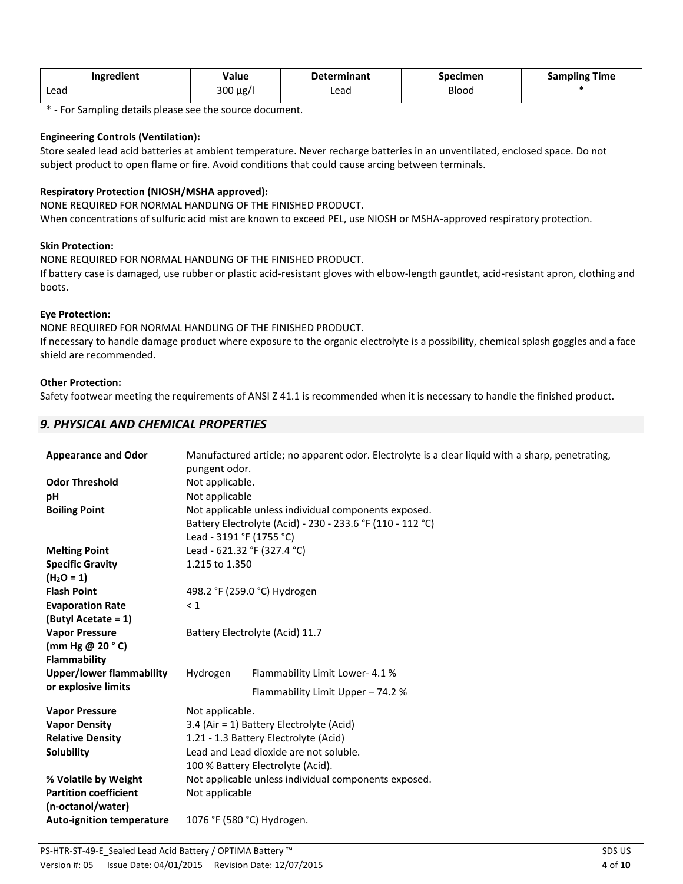| $\cdot$<br>Ingredient | Value         | <b>Determinant</b> | Specimen | Time<br>Sampling |
|-----------------------|---------------|--------------------|----------|------------------|
| Lead                  | $300 \mu g/l$ | ∟ead<br>.          | Blood    |                  |

\* - For Sampling details please see the source document.

#### **Engineering Controls (Ventilation):**

 subject product to open flame or fire. Avoid conditions that could cause arcing between terminals. Store sealed lead acid batteries at ambient temperature. Never recharge batteries in an unventilated, enclosed space. Do not

## **Respiratory Protection (NIOSH/MSHA approved):**

NONE REQUIRED FOR NORMAL HANDLING OF THE FINISHED PRODUCT.

When concentrations of sulfuric acid mist are known to exceed PEL, use NIOSH or MSHA-approved respiratory protection.

## **Skin Protection:**

NONE REQUIRED FOR NORMAL HANDLING OF THE FINISHED PRODUCT. If battery case is damaged, use rubber or plastic acid-resistant gloves with elbow-length gauntlet, acid-resistant apron, clothing and boots.

## **Eye Protection:**

NONE REQUIRED FOR NORMAL HANDLING OF THE FINISHED PRODUCT.

If necessary to handle damage product where exposure to the organic electrolyte is a possibility, chemical splash goggles and a face shield are recommended.

## **Other Protection:**

Safety footwear meeting the requirements of ANSI Z 41.1 is recommended when it is necessary to handle the finished product.

# *9. PHYSICAL AND CHEMICAL PROPERTIES*

| <b>Appearance and Odor</b>       | pungent odor.                                        | Manufactured article; no apparent odor. Electrolyte is a clear liquid with a sharp, penetrating, |  |  |
|----------------------------------|------------------------------------------------------|--------------------------------------------------------------------------------------------------|--|--|
| <b>Odor Threshold</b>            | Not applicable.                                      |                                                                                                  |  |  |
| pH                               | Not applicable                                       |                                                                                                  |  |  |
| <b>Boiling Point</b>             | Not applicable unless individual components exposed. |                                                                                                  |  |  |
|                                  |                                                      | Battery Electrolyte (Acid) - 230 - 233.6 °F (110 - 112 °C)                                       |  |  |
|                                  | Lead - 3191 °F (1755 °C)                             |                                                                                                  |  |  |
| <b>Melting Point</b>             |                                                      | Lead - 621.32 °F (327.4 °C)                                                                      |  |  |
| <b>Specific Gravity</b>          | 1.215 to 1.350                                       |                                                                                                  |  |  |
| $(H2O = 1)$                      |                                                      |                                                                                                  |  |  |
| <b>Flash Point</b>               | 498.2 °F (259.0 °C) Hydrogen                         |                                                                                                  |  |  |
| <b>Evaporation Rate</b>          | $\leq 1$                                             |                                                                                                  |  |  |
| (Butyl Acetate = 1)              |                                                      |                                                                                                  |  |  |
| <b>Vapor Pressure</b>            |                                                      | Battery Electrolyte (Acid) 11.7                                                                  |  |  |
| (mm Hg $@$ 20 $^{\circ}$ C)      |                                                      |                                                                                                  |  |  |
| Flammability                     |                                                      |                                                                                                  |  |  |
| <b>Upper/lower flammability</b>  | Hydrogen                                             | Flammability Limit Lower- 4.1 %                                                                  |  |  |
| or explosive limits              |                                                      | Flammability Limit Upper - 74.2 %                                                                |  |  |
| <b>Vapor Pressure</b>            | Not applicable.                                      |                                                                                                  |  |  |
| <b>Vapor Density</b>             |                                                      | 3.4 (Air = 1) Battery Electrolyte (Acid)                                                         |  |  |
| <b>Relative Density</b>          |                                                      | 1.21 - 1.3 Battery Electrolyte (Acid)                                                            |  |  |
| Solubility                       | Lead and Lead dioxide are not soluble.               |                                                                                                  |  |  |
|                                  |                                                      | 100 % Battery Electrolyte (Acid).                                                                |  |  |
| % Volatile by Weight             | Not applicable unless individual components exposed. |                                                                                                  |  |  |
| <b>Partition coefficient</b>     | Not applicable                                       |                                                                                                  |  |  |
| (n-octanol/water)                |                                                      |                                                                                                  |  |  |
| <b>Auto-ignition temperature</b> |                                                      | 1076 °F (580 °C) Hydrogen.                                                                       |  |  |
|                                  |                                                      |                                                                                                  |  |  |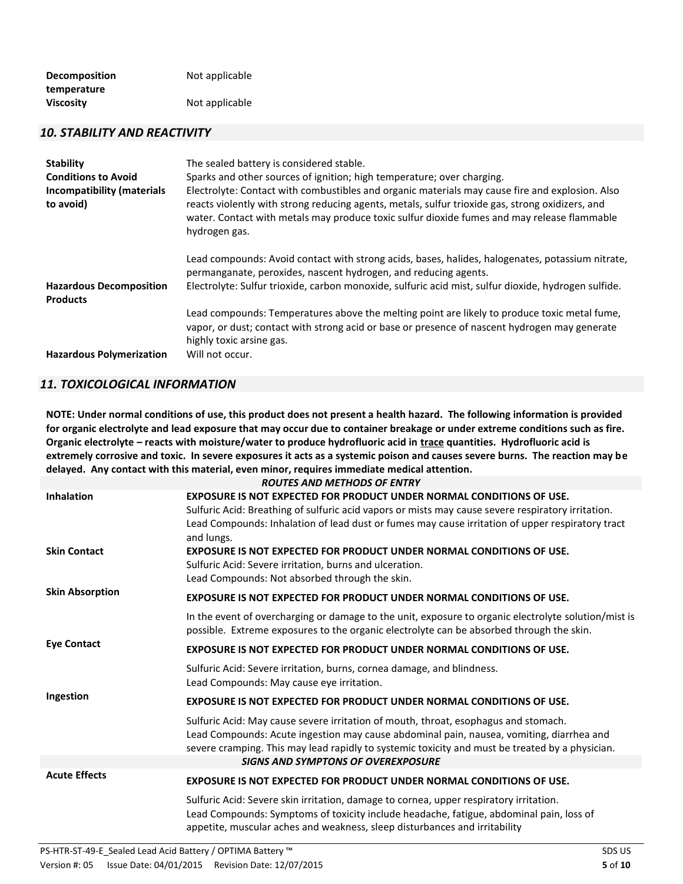| <b>Decomposition</b> | Not applicable |
|----------------------|----------------|
| temperature          |                |
| <b>Viscosity</b>     | Not applicable |

#### *10. STABILITY AND REACTIVITY*

| <b>Stability</b><br><b>Conditions to Avoid</b><br>Incompatibility (materials<br>to avoid) | The sealed battery is considered stable.<br>Sparks and other sources of ignition; high temperature; over charging.<br>Electrolyte: Contact with combustibles and organic materials may cause fire and explosion. Also<br>reacts violently with strong reducing agents, metals, sulfur trioxide gas, strong oxidizers, and<br>water. Contact with metals may produce toxic sulfur dioxide fumes and may release flammable<br>hydrogen gas. |
|-------------------------------------------------------------------------------------------|-------------------------------------------------------------------------------------------------------------------------------------------------------------------------------------------------------------------------------------------------------------------------------------------------------------------------------------------------------------------------------------------------------------------------------------------|
| <b>Hazardous Decomposition</b><br><b>Products</b>                                         | Lead compounds: Avoid contact with strong acids, bases, halides, halogenates, potassium nitrate,<br>permanganate, peroxides, nascent hydrogen, and reducing agents.<br>Electrolyte: Sulfur trioxide, carbon monoxide, sulfuric acid mist, sulfur dioxide, hydrogen sulfide.                                                                                                                                                               |
| <b>Hazardous Polymerization</b>                                                           | Lead compounds: Temperatures above the melting point are likely to produce toxic metal fume,<br>vapor, or dust; contact with strong acid or base or presence of nascent hydrogen may generate<br>highly toxic arsine gas.<br>Will not occur.                                                                                                                                                                                              |

# *11. TOXICOLOGICAL INFORMATION*

 **Organic electrolyte – reacts with moisture/water to produce hydrofluoric acid in trace quantities. Hydrofluoric acid is extremely corrosive and toxic. In severe exposures it acts as a systemic poison and causes severe burns. The reaction may be delayed. Any contact with this material, even minor, requires immediate medical attention. NOTE: Under normal conditions of use, this product does not present a health hazard. The following information is provided for organic electrolyte and lead exposure that may occur due to container breakage or under extreme conditions such as fire.** 

|                                          | <b>ROUTES AND METHODS OF ENTRY</b>                                                                                                                                                                                                                                                                                                                                                                                              |
|------------------------------------------|---------------------------------------------------------------------------------------------------------------------------------------------------------------------------------------------------------------------------------------------------------------------------------------------------------------------------------------------------------------------------------------------------------------------------------|
| <b>Inhalation</b><br><b>Skin Contact</b> | EXPOSURE IS NOT EXPECTED FOR PRODUCT UNDER NORMAL CONDITIONS OF USE.<br>Sulfuric Acid: Breathing of sulfuric acid vapors or mists may cause severe respiratory irritation.<br>Lead Compounds: Inhalation of lead dust or fumes may cause irritation of upper respiratory tract<br>and lungs.<br>EXPOSURE IS NOT EXPECTED FOR PRODUCT UNDER NORMAL CONDITIONS OF USE.<br>Sulfuric Acid: Severe irritation, burns and ulceration. |
|                                          | Lead Compounds: Not absorbed through the skin.                                                                                                                                                                                                                                                                                                                                                                                  |
| <b>Skin Absorption</b>                   | EXPOSURE IS NOT EXPECTED FOR PRODUCT UNDER NORMAL CONDITIONS OF USE.                                                                                                                                                                                                                                                                                                                                                            |
|                                          | In the event of overcharging or damage to the unit, exposure to organic electrolyte solution/mist is<br>possible. Extreme exposures to the organic electrolyte can be absorbed through the skin.                                                                                                                                                                                                                                |
| <b>Eye Contact</b>                       | EXPOSURE IS NOT EXPECTED FOR PRODUCT UNDER NORMAL CONDITIONS OF USE.                                                                                                                                                                                                                                                                                                                                                            |
|                                          | Sulfuric Acid: Severe irritation, burns, cornea damage, and blindness.<br>Lead Compounds: May cause eye irritation.                                                                                                                                                                                                                                                                                                             |
| Ingestion                                | EXPOSURE IS NOT EXPECTED FOR PRODUCT UNDER NORMAL CONDITIONS OF USE.                                                                                                                                                                                                                                                                                                                                                            |
|                                          | Sulfuric Acid: May cause severe irritation of mouth, throat, esophagus and stomach.<br>Lead Compounds: Acute ingestion may cause abdominal pain, nausea, vomiting, diarrhea and<br>severe cramping. This may lead rapidly to systemic toxicity and must be treated by a physician.                                                                                                                                              |
|                                          | <b>SIGNS AND SYMPTONS OF OVEREXPOSURE</b>                                                                                                                                                                                                                                                                                                                                                                                       |
| <b>Acute Effects</b>                     | <b>EXPOSURE IS NOT EXPECTED FOR PRODUCT UNDER NORMAL CONDITIONS OF USE.</b>                                                                                                                                                                                                                                                                                                                                                     |
|                                          | Sulfuric Acid: Severe skin irritation, damage to cornea, upper respiratory irritation.<br>Lead Compounds: Symptoms of toxicity include headache, fatigue, abdominal pain, loss of<br>appetite, muscular aches and weakness, sleep disturbances and irritability                                                                                                                                                                 |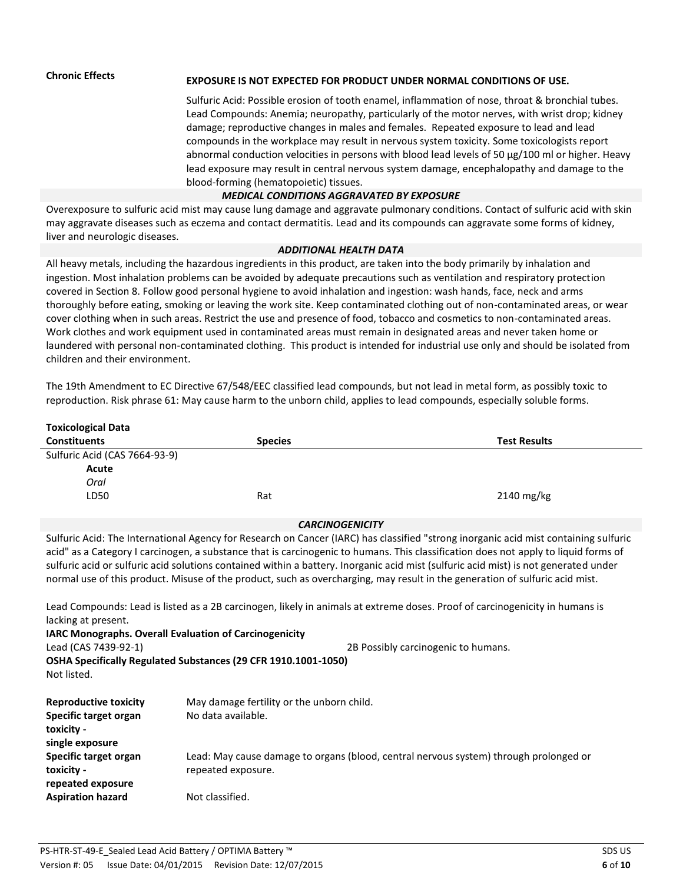# **Chronic Effects EXPOSURE IS NOT EXPECTED FOR PRODUCT UNDER NORMAL CONDITIONS OF USE.**

Sulfuric Acid: Possible erosion of tooth enamel, inflammation of nose, throat & bronchial tubes. Lead Compounds: Anemia; neuropathy, particularly of the motor nerves, with wrist drop; kidney damage; reproductive changes in males and females. Repeated exposure to lead and lead compounds in the workplace may result in nervous system toxicity. Some toxicologists report abnormal conduction velocities in persons with blood lead levels of 50 μg/100 ml or higher. Heavy lead exposure may result in central nervous system damage, encephalopathy and damage to the blood-forming (hematopoietic) tissues.

#### *MEDICAL CONDITIONS AGGRAVATED BY EXPOSURE*

 may aggravate diseases such as eczema and contact dermatitis. Lead and its compounds can aggravate some forms of kidney, Overexposure to sulfuric acid mist may cause lung damage and aggravate pulmonary conditions. Contact of sulfuric acid with skin liver and neurologic diseases.

#### *ADDITIONAL HEALTH DATA*

All heavy metals, including the hazardous ingredients in this product, are taken into the body primarily by inhalation and ingestion. Most inhalation problems can be avoided by adequate precautions such as ventilation and respiratory protection covered in Section 8. Follow good personal hygiene to avoid inhalation and ingestion: wash hands, face, neck and arms thoroughly before eating, smoking or leaving the work site. Keep contaminated clothing out of non-contaminated areas, or wear cover clothing when in such areas. Restrict the use and presence of food, tobacco and cosmetics to non-contaminated areas. Work clothes and work equipment used in contaminated areas must remain in designated areas and never taken home or laundered with personal non-contaminated clothing. This product is intended for industrial use only and should be isolated from children and their environment.

The 19th Amendment to EC Directive 67/548/EEC classified lead compounds, but not lead in metal form, as possibly toxic to reproduction. Risk phrase 61: May cause harm to the unborn child, applies to lead compounds, especially soluble forms.

| <b>Toxicological Data</b>                                                                                                                                                      |                                                                                                                                 |                                                                                                                                                                                                                                                                                                                                                                                                                                                                                                                                                                                                                                                                                                                            |
|--------------------------------------------------------------------------------------------------------------------------------------------------------------------------------|---------------------------------------------------------------------------------------------------------------------------------|----------------------------------------------------------------------------------------------------------------------------------------------------------------------------------------------------------------------------------------------------------------------------------------------------------------------------------------------------------------------------------------------------------------------------------------------------------------------------------------------------------------------------------------------------------------------------------------------------------------------------------------------------------------------------------------------------------------------------|
| <b>Constituents</b>                                                                                                                                                            | <b>Species</b>                                                                                                                  | <b>Test Results</b>                                                                                                                                                                                                                                                                                                                                                                                                                                                                                                                                                                                                                                                                                                        |
| Sulfuric Acid (CAS 7664-93-9)<br>Acute<br>Oral<br>LD50                                                                                                                         | Rat                                                                                                                             | 2140 mg/kg                                                                                                                                                                                                                                                                                                                                                                                                                                                                                                                                                                                                                                                                                                                 |
|                                                                                                                                                                                | <b>CARCINOGENICITY</b>                                                                                                          |                                                                                                                                                                                                                                                                                                                                                                                                                                                                                                                                                                                                                                                                                                                            |
| lacking at present.<br>Lead (CAS 7439-92-1)<br>Not listed.                                                                                                                     | <b>IARC Monographs. Overall Evaluation of Carcinogenicity</b><br>OSHA Specifically Regulated Substances (29 CFR 1910.1001-1050) | Sulfuric Acid: The International Agency for Research on Cancer (IARC) has classified "strong inorganic acid mist containing sulfuric<br>acid" as a Category I carcinogen, a substance that is carcinogenic to humans. This classification does not apply to liquid forms of<br>sulfuric acid or sulfuric acid solutions contained within a battery. Inorganic acid mist (sulfuric acid mist) is not generated under<br>normal use of this product. Misuse of the product, such as overcharging, may result in the generation of sulfuric acid mist.<br>Lead Compounds: Lead is listed as a 2B carcinogen, likely in animals at extreme doses. Proof of carcinogenicity in humans is<br>2B Possibly carcinogenic to humans. |
| <b>Reproductive toxicity</b><br>Specific target organ<br>toxicity -<br>single exposure<br>Specific target organ<br>toxicity -<br>repeated exposure<br><b>Aspiration hazard</b> | May damage fertility or the unborn child.<br>No data available.<br>repeated exposure.<br>Not classified.                        | Lead: May cause damage to organs (blood, central nervous system) through prolonged or                                                                                                                                                                                                                                                                                                                                                                                                                                                                                                                                                                                                                                      |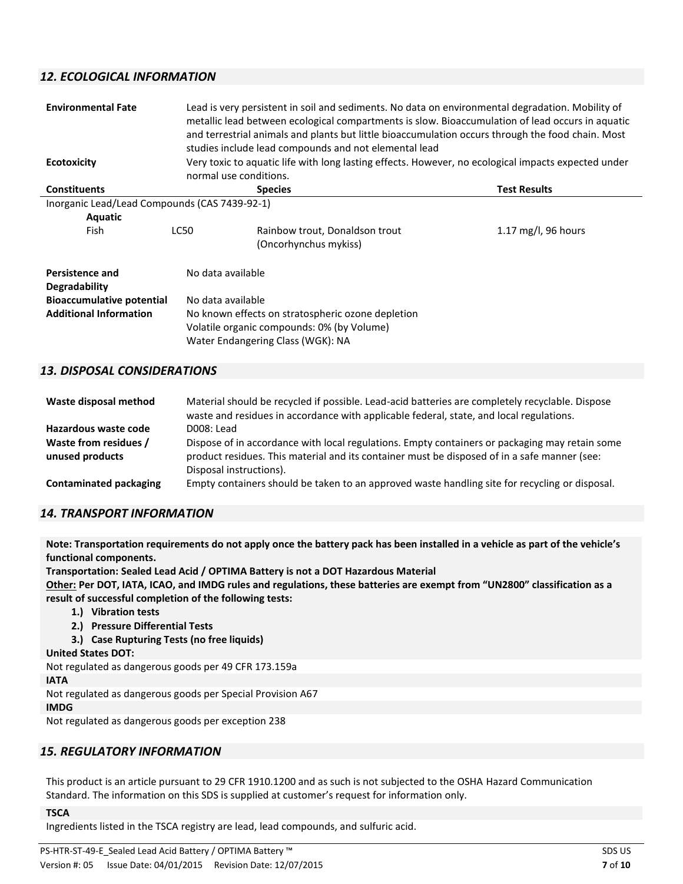# *12. ECOLOGICAL INFORMATION*

| <b>Environmental Fate</b><br><b>Ecotoxicity</b>                                                                     | normal use conditions. | Lead is very persistent in soil and sediments. No data on environmental degradation. Mobility of<br>metallic lead between ecological compartments is slow. Bioaccumulation of lead occurs in aquatic<br>and terrestrial animals and plants but little bioaccumulation occurs through the food chain. Most<br>studies include lead compounds and not elemental lead<br>Very toxic to aquatic life with long lasting effects. However, no ecological impacts expected under |                     |  |  |
|---------------------------------------------------------------------------------------------------------------------|------------------------|---------------------------------------------------------------------------------------------------------------------------------------------------------------------------------------------------------------------------------------------------------------------------------------------------------------------------------------------------------------------------------------------------------------------------------------------------------------------------|---------------------|--|--|
| <b>Constituents</b>                                                                                                 |                        | <b>Species</b>                                                                                                                                                                                                                                                                                                                                                                                                                                                            | <b>Test Results</b> |  |  |
| Inorganic Lead/Lead Compounds (CAS 7439-92-1)<br><b>Aquatic</b><br>Fish                                             | LC50                   | Rainbow trout, Donaldson trout<br>(Oncorhynchus mykiss)                                                                                                                                                                                                                                                                                                                                                                                                                   | 1.17 mg/l, 96 hours |  |  |
| <b>Persistence and</b><br><b>Degradability</b><br><b>Bioaccumulative potential</b><br><b>Additional Information</b> |                        | No data available<br>No data available<br>No known effects on stratospheric ozone depletion<br>Volatile organic compounds: 0% (by Volume)<br>Water Endangering Class (WGK): NA                                                                                                                                                                                                                                                                                            |                     |  |  |

# *13. DISPOSAL CONSIDERATIONS*

| Waste disposal method                    | Material should be recycled if possible. Lead-acid batteries are completely recyclable. Dispose<br>waste and residues in accordance with applicable federal, state, and local regulations.                                |
|------------------------------------------|---------------------------------------------------------------------------------------------------------------------------------------------------------------------------------------------------------------------------|
| Hazardous waste code                     | D008: Lead                                                                                                                                                                                                                |
| Waste from residues /<br>unused products | Dispose of in accordance with local regulations. Empty containers or packaging may retain some<br>product residues. This material and its container must be disposed of in a safe manner (see:<br>Disposal instructions). |
| <b>Contaminated packaging</b>            | Empty containers should be taken to an approved waste handling site for recycling or disposal.                                                                                                                            |

# *14. TRANSPORT INFORMATION*

**Note: Transportation requirements do not apply once the battery pack has been installed in a vehicle as part of the vehicle's functional components.**

**Transportation: Sealed Lead Acid / OPTIMA Battery is not a DOT Hazardous Material Other: Per DOT, IATA, ICAO, and IMDG rules and regulations, these batteries are exempt from "UN2800" classification as a** 

**result of successful completion of the following tests:**

- **1.) Vibration tests**
- **2.) Pressure Differential Tests**
- **3.) Case Rupturing Tests (no free liquids)**

**United States DOT:** 

Not regulated as dangerous goods per 49 CFR 173.159a

#### **IATA**

Not regulated as dangerous goods per Special Provision A67

#### **IMDG**

Not regulated as dangerous goods per exception 238

# *15. REGULATORY INFORMATION*

This product is an article pursuant to 29 CFR 1910.1200 and as such is not subjected to the OSHA Hazard Communication Standard. The information on this SDS is supplied at customer's request for information only.

#### **TSCA**

Ingredients listed in the TSCA registry are lead, lead compounds, and sulfuric acid.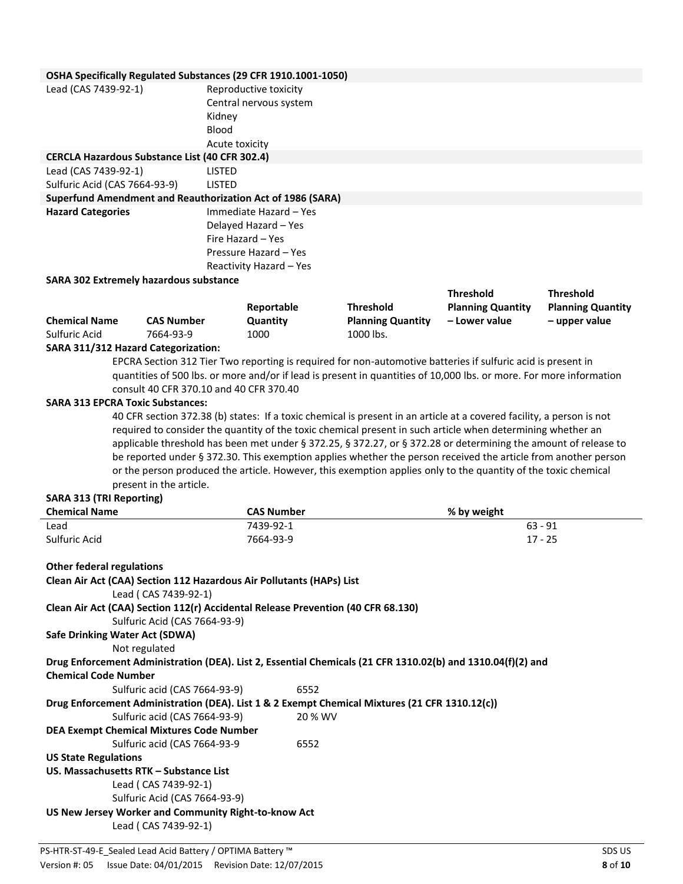## **OSHA Specifically Regulated Substances (29 CFR 1910.1001-1050)**

| <b>OSHA SPECINGING INCRUISICA SUBSTANCES (25 CHILLS 2010).</b> |                        |
|----------------------------------------------------------------|------------------------|
| Lead (CAS 7439-92-1)                                           | Reproductive toxicity  |
|                                                                | Central nervous system |
|                                                                | Kidney                 |
|                                                                | Blood                  |
|                                                                | Acute toxicity         |
| <b>CERCLA Hazardous Substance List (40 CFR 302.4)</b>          |                        |
| Lead (CAS 7439-92-1)                                           | <b>LISTED</b>          |
| Sulfuric Acid (CAS 7664-93-9)                                  | <b>LISTED</b>          |
| Superfund Amendment and Reauthorization Act of 1986 (SARA)     |                        |
| <b>Hazard Categories</b>                                       | Immediate Hazard - Yes |
|                                                                | Delayed Hazard - Yes   |
|                                                                | Fire Hazard – Yes      |

Pressure Hazard – Yes Reactivity Hazard – Yes

## **SARA 302 Extremely hazardous substance**

|                      |                   |            |                          | .                        | .                        |
|----------------------|-------------------|------------|--------------------------|--------------------------|--------------------------|
|                      |                   | Reportable | <b>Threshold</b>         | <b>Planning Quantity</b> | <b>Planning Quantity</b> |
| <b>Chemical Name</b> | <b>CAS Number</b> | Quantity   | <b>Planning Quantity</b> | – Lower value            | – upper value            |
| Sulfuric Acid        | 7664-93-9         | 1000       | 1000 lbs.                |                          |                          |

#### **SARA 311/312 Hazard Categorization:**

EPCRA Section 312 Tier Two reporting is required for non-automotive batteries if sulfuric acid is present in quantities of 500 lbs. or more and/or if lead is present in quantities of 10,000 lbs. or more. For more information consult 40 CFR 370.10 and 40 CFR 370.40

**Threshold Threshold** 

# **SARA 313 EPCRA Toxic Substances:**

40 CFR section 372.38 (b) states: If a toxic chemical is present in an article at a covered facility, a person is not required to consider the quantity of the toxic chemical present in such article when determining whether an applicable threshold has been met under § 372.25, § 372.27, or § 372.28 or determining the amount of release to be reported under § 372.30. This exemption applies whether the person received the article from another person or the person produced the article. However, this exemption applies only to the quantity of the toxic chemical present in the article.

## **SARA 313 (TRI Reporting)**

| <b>Chemical Name</b> | <b>CAS Number</b> | % by weight |
|----------------------|-------------------|-------------|
| Lead                 | 7439-92-1         | $63 - 91$   |
| Sulfuric Acid        | 7664-93-9         | 17 - 25     |

#### **Other federal regulations**

| Clean Air Act (CAA) Section 112 Hazardous Air Pollutants (HAPs) List                           |                                                                                                             |
|------------------------------------------------------------------------------------------------|-------------------------------------------------------------------------------------------------------------|
| Lead ( CAS 7439-92-1)                                                                          |                                                                                                             |
| Clean Air Act (CAA) Section 112(r) Accidental Release Prevention (40 CFR 68.130)               |                                                                                                             |
| Sulfuric Acid (CAS 7664-93-9)                                                                  |                                                                                                             |
| Safe Drinking Water Act (SDWA)                                                                 |                                                                                                             |
| Not regulated                                                                                  |                                                                                                             |
|                                                                                                | Drug Enforcement Administration (DEA). List 2, Essential Chemicals (21 CFR 1310.02(b) and 1310.04(f)(2) and |
| <b>Chemical Code Number</b>                                                                    |                                                                                                             |
| Sulfuric acid (CAS 7664-93-9)                                                                  | 6552                                                                                                        |
| Drug Enforcement Administration (DEA). List 1 & 2 Exempt Chemical Mixtures (21 CFR 1310.12(c)) |                                                                                                             |
| Sulfuric acid (CAS 7664-93-9)                                                                  | 20 % WV                                                                                                     |
| <b>DEA Exempt Chemical Mixtures Code Number</b>                                                |                                                                                                             |
| Sulfuric acid (CAS 7664-93-9                                                                   | 6552                                                                                                        |
| <b>US State Regulations</b>                                                                    |                                                                                                             |
| US. Massachusetts RTK - Substance List                                                         |                                                                                                             |
| Lead ( CAS 7439-92-1)                                                                          |                                                                                                             |
| Sulfuric Acid (CAS 7664-93-9)                                                                  |                                                                                                             |
| US New Jersey Worker and Community Right-to-know Act                                           |                                                                                                             |
| Lead ( CAS 7439-92-1)                                                                          |                                                                                                             |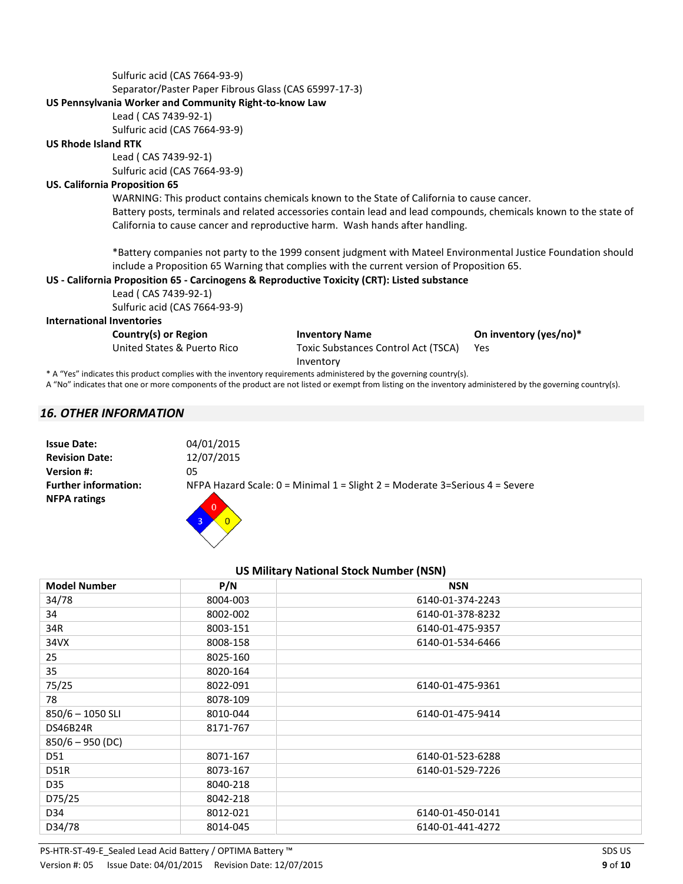Sulfuric acid (CAS 7664-93-9) Separator/Paster Paper Fibrous Glass (CAS 65997-17-3) **US Pennsylvania Worker and Community Right-to-know Law**  Lead ( CAS 7439-92-1) Sulfuric acid (CAS 7664-93-9) **US Rhode Island RTK**  Lead ( CAS 7439-92-1) Sulfuric acid (CAS 7664-93-9) **US. California Proposition 65**  WARNING: This product contains chemicals known to the State of California to cause cancer. Battery posts, terminals and related accessories contain lead and lead compounds, chemicals known to the state of California to cause cancer and reproductive harm. Wash hands after handling. \*Battery companies not party to the 1999 consent judgment with Mateel Environmental Justice Foundation should include a Proposition 65 Warning that complies with the current version of Proposition 65. **US - California Proposition 65 - Carcinogens & Reproductive Toxicity (CRT): Listed substance**  Lead ( CAS 7439-92-1) Sulfuric acid (CAS 7664-93-9) **International Inventories**  Country(s) or Region **Inventory Name On inventory (yes/no)\*** United States & Puerto Rico Toxic Substances Control Act (TSCA) Yes

Inventory

\* ! "Yes" indicates this product complies with the inventory requirements administered by the governing country(s).

A "No" indicates that one or more components of the product are not listed or exempt from listing on the inventory administered by the governing country(s).

# *16. OTHER INFORMATION*

| <b>Issue Date:</b>                                 | 04/01/2015                                                                                                |
|----------------------------------------------------|-----------------------------------------------------------------------------------------------------------|
| <b>Revision Date:</b>                              | 12/07/2015                                                                                                |
| <b>Version #:</b>                                  | 05                                                                                                        |
| <b>Further information:</b><br><b>NFPA ratings</b> | NFPA Hazard Scale: $0 =$ Minimal 1 = Slight 2 = Moderate 3=Serious 4 = Severe<br>$\overline{0}$<br>$\sim$ |

| <b>Model Number</b> | P/N      | <b>NSN</b>       |
|---------------------|----------|------------------|
| 34/78               | 8004-003 | 6140-01-374-2243 |
| 34                  | 8002-002 | 6140-01-378-8232 |
| 34R                 | 8003-151 | 6140-01-475-9357 |
| 34VX                | 8008-158 | 6140-01-534-6466 |
| 25                  | 8025-160 |                  |
| 35                  | 8020-164 |                  |
| 75/25               | 8022-091 | 6140-01-475-9361 |
| 78                  | 8078-109 |                  |
| $850/6 - 1050$ SLI  | 8010-044 | 6140-01-475-9414 |
| DS46B24R            | 8171-767 |                  |
| $850/6 - 950$ (DC)  |          |                  |
| D51                 | 8071-167 | 6140-01-523-6288 |
| D51R                | 8073-167 | 6140-01-529-7226 |
| D35                 | 8040-218 |                  |
| D75/25              | 8042-218 |                  |
| D34                 | 8012-021 | 6140-01-450-0141 |
| D34/78              | 8014-045 | 6140-01-441-4272 |

**US Military National Stock Number (NSN)**